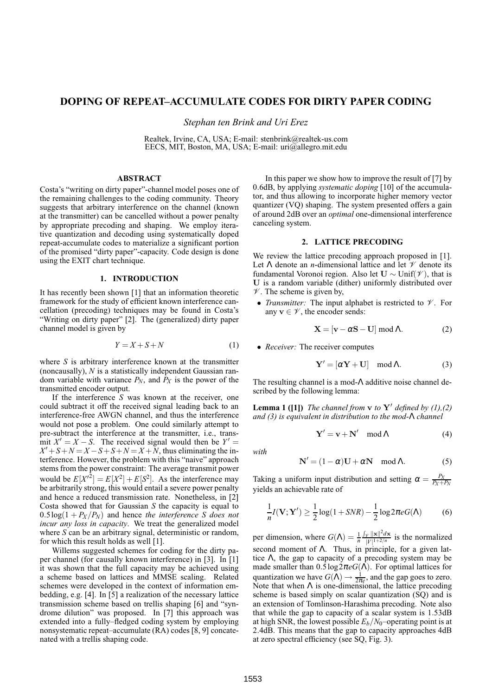# **DOPING OF REPEAT–ACCUMULATE CODES FOR DIRTY PAPER CODING**

*Stephan ten Brink and Uri Erez*

Realtek, Irvine, CA, USA; E-mail: stenbrink@realtek-us.com EECS, MIT, Boston, MA, USA; E-mail: uri@allegro.mit.edu

### **ABSTRACT**

Costa's "writing on dirty paper"-channel model poses one of the remaining challenges to the coding community. Theory suggests that arbitrary interference on the channel (known at the transmitter) can be cancelled without a power penalty by appropriate precoding and shaping. We employ iterative quantization and decoding using systematically doped repeat-accumulate codes to materialize a significant portion of the promised "dirty paper"-capacity. Code design is done using the EXIT chart technique.

# **1. INTRODUCTION**

It has recently been shown [1] that an information theoretic framework for the study of efficient known interference cancellation (precoding) techniques may be found in Costa's "Writing on dirty paper" [2]. The (generalized) dirty paper channel model is given by

$$
Y = X + S + N \tag{1}
$$

where *S* is arbitrary interference known at the transmitter (noncausally), *N* is a statistically independent Gaussian random variable with variance  $P_N$ , and  $P_X$  is the power of the transmitted encoder output.

If the interference *S* was known at the receiver, one could subtract it off the received signal leading back to an interference-free AWGN channel, and thus the interference would not pose a problem. One could similarly attempt to pre-subtract the interference at the transmitter, i.e., transmit  $X' = X - S$ . The received signal would then be  $Y' =$  $X' + S + N = X - S + S + N = X + N$ , thus eliminating the interference. However, the problem with this "naive" approach stems from the power constraint: The average transmit power would be  $E[X'^2] = E[X^2] + E[S^2]$ . As the interference may be arbitrarily strong, this would entail a severe power penalty and hence a reduced transmission rate. Nonetheless, in [2] Costa showed that for Gaussian *S* the capacity is equal to  $0.5\log(1 + P_X/P_N)$  and hence *the interference S* does not *incur any loss in capacity*. We treat the generalized model where *S* can be an arbitrary signal, deterministic or random, for which this result holds as well [1].

Willems suggested schemes for coding for the dirty paper channel (for causally known interference) in [3]. In [1] it was shown that the full capacity may be achieved using a scheme based on lattices and MMSE scaling. Related schemes were developed in the context of information embedding, e.g. [4]. In [5] a realization of the necessary lattice transmission scheme based on trellis shaping [6] and "syndrome dilution" was proposed. In [7] this approach was extended into a fully–fledged coding system by employing nonsystematic repeat–accumulate (RA) codes [8, 9] concatenated with a trellis shaping code.

In this paper we show how to improve the result of [7] by 0.6dB, by applying *systematic doping* [10] of the accumulator, and thus allowing to incorporate higher memory vector quantizer (VQ) shaping. The system presented offers a gain of around 2dB over an *optimal* one-dimensional interference canceling system.

## **2. LATTICE PRECODING**

We review the lattice precoding approach proposed in [1]. Let  $\Lambda$  denote an *n*-dimensional lattice and let  $\mathcal V$  denote its fundamental Voronoi region. Also let  $U \sim \text{Unif}(\mathcal{V})$ , that is U is a random variable (dither) uniformly distributed over  $V$ . The scheme is given by,

• *Transmitter:* The input alphabet is restricted to  $\mathcal V$ . For any  $\mathbf{v} \in \mathcal{V}$ , the encoder sends:

$$
\mathbf{X} = [\mathbf{v} - \alpha \mathbf{S} - \mathbf{U}] \bmod \Lambda.
$$
 (2)

• *Receiver:* The receiver computes

$$
\mathbf{Y}' = [\alpha \mathbf{Y} + \mathbf{U}] \mod \Lambda. \tag{3}
$$

The resulting channel is a mod-Λ additive noise channel described by the following lemma:

**Lemma 1 ([1])** *The channel from*  $\bf{v}$  *to*  $\bf{Y}'$  *defined by (1),(2) and (3) is equivalent in distribution to the mod-*Λ *channel*

$$
Y' = v + N' \mod \Lambda \tag{4}
$$

*with*

$$
N' = (1 - \alpha)U + \alpha N \mod \Lambda. \tag{5}
$$

Taking a uniform input distribution and setting  $\alpha = \frac{P_X}{P_X + P_X}$ yields an achievable rate of

$$
\frac{1}{n}I(\mathbf{V};\mathbf{Y}') \ge \frac{1}{2}\log(1+SNR) - \frac{1}{2}\log 2\pi e G(\Lambda)
$$
 (6)

per dimension, where  $G(\Lambda) = \frac{1}{n}$  $\int_{\mathscr{V}} \|\mathbf{x}\|^2 d\mathbf{x}$  $\frac{\gamma ||\mathbf{x}|| ||u\mathbf{x}||}{|V|^{1+2/n}}$  is the normalized second moment of  $\Lambda$ . Thus, in principle, for a given lattice  $\Lambda$ , the gap to capacity of a precoding system may be made smaller than 0.5log2π*eG*(Λ). For optimal lattices for quantization we have  $G(\Lambda) \to \frac{1}{2\pi e}$ , and the gap goes to zero. Note that when  $\Lambda$  is one-dimensional, the lattice precoding scheme is based simply on scalar quantization (SQ) and is an extension of Tomlinson-Harashima precoding. Note also that while the gap to capacity of a scalar system is 1.53dB at high SNR, the lowest possible  $E_b/N_0$ –operating point is at 2.4dB. This means that the gap to capacity approaches 4dB at zero spectral efficiency (see SQ, Fig. 3).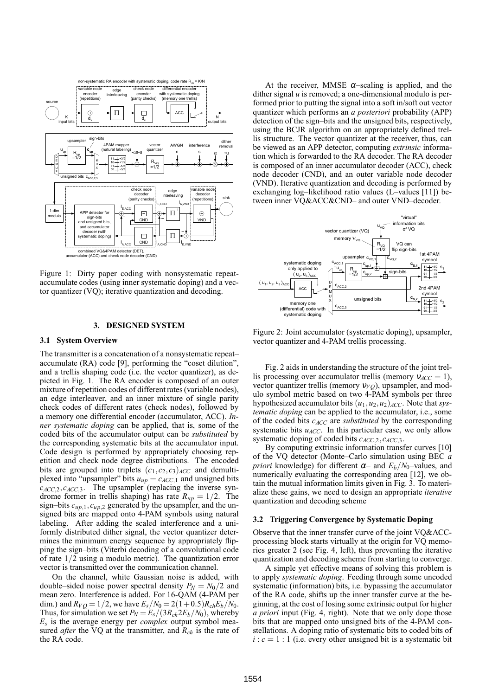

Figure 1: Dirty paper coding with nonsystematic repeataccumulate codes (using inner systematic doping) and a vector quantizer (VQ); iterative quantization and decoding.

#### **3. DESIGNED SYSTEM**

## **3.1 System Overview**

The transmitter is a concatenation of a nonsystematic repeat– accumulate (RA) code [9], performing the "coset dilution", and a trellis shaping code (i.e. the vector quantizer), as depicted in Fig. 1. The RA encoder is composed of an outer mixture of repetition codes of different rates (variable nodes), an edge interleaver, and an inner mixture of single parity check codes of different rates (check nodes), followed by a memory one differential encoder (accumulator, ACC). *Inner systematic doping* can be applied, that is, some of the coded bits of the accumulator output can be *substituted* by the corresponding systematic bits at the accumulator input. Code design is performed by appropriately choosing repetition and check node degree distributions. The encoded bits are grouped into triplets  $(c_1, c_2, c_3)_{ACC}$  and demultiplexed into "upsampler" bits  $u_{up} = c_{ACC,1}$  and unsigned bits *cACC*,2,*cACC*,3. The upsampler (replacing the inverse syndrome former in trellis shaping) has rate  $R_{up} = 1/2$ . The sign–bits *cup*,1,*cup*,<sup>2</sup> generated by the upsampler, and the unsigned bits are mapped onto 4-PAM symbols using natural labeling. After adding the scaled interference and a uniformly distributed dither signal, the vector quantizer determines the minimum energy sequence by appropriately flipping the sign–bits (Viterbi decoding of a convolutional code of rate 1/2 using a modulo metric). The quantization error vector is transmitted over the communication channel.

On the channel, white Gaussian noise is added, with double–sided noise power spectral density  $P_N = N_0/2$  and mean zero. Interference is added. For 16-QAM (4-PAM per dim.) and  $R_{VO} = 1/2$ , we have  $E_s/N_0 = 2(1+0.5)R_{ch}E_b/N_0$ . Thus, for simulation we set  $P_N = E_s/(3R_{ch}2E_b/N_0)$ , whereby *Es* is the average energy per *complex* output symbol measured *after* the VQ at the transmitter, and  $R_{ch}$  is the rate of the RA code.

At the receiver, MMSE  $\alpha$ -scaling is applied, and the dither signal *u* is removed; a one-dimensional modulo is performed prior to putting the signal into a soft in/soft out vector quantizer which performs an *a posteriori* probability (APP) detection of the sign–bits and the unsigned bits, respectively, using the BCJR algorithm on an appropriately defined trellis structure. The vector quantizer at the receiver, thus, can be viewed as an APP detector, computing *extrinsic* information which is forwarded to the RA decoder. The RA decoder is composed of an inner accumulator decoder (ACC), check node decoder (CND), and an outer variable node decoder (VND). Iterative quantization and decoding is performed by exchanging log–likelihood ratio values (L–values [11]) between inner VQ&ACC&CND– and outer VND–decoder.



Figure 2: Joint accumulator (systematic doping), upsampler, vector quantizer and 4-PAM trellis processing.

Fig. 2 aids in understanding the structure of the joint trellis processing over accumulator trellis (memory  $v_{ACC} = 1$ ), vector quantizer trellis (memory  $v_{VQ}$ ), upsampler, and modulo symbol metric based on two 4-PAM symbols per three hypothesized accumulator bits  $(u_1, u_2, u_2)_{ACC}$ . Note that *systematic doping* can be applied to the accumulator, i.e., some of the coded bits *cACC* are *substituted* by the corresponding systematic bits  $u_{ACC}$ . In this particular case, we only allow systematic doping of coded bits *cACC*,2,*cACC*,3.

By computing extrinsic information transfer curves [10] of the VQ detector (Monte–Carlo simulation using BEC *a priori* knowledge) for different  $\alpha$ – and  $E_b/N_0$ –values, and numerically evaluating the corresponding area [12], we obtain the mutual information limits given in Fig. 3. To materialize these gains, we need to design an appropriate *iterative* quantization and decoding scheme

### **3.2 Triggering Convergence by Systematic Doping**

Observe that the inner transfer curve of the joint VQ&ACCprocessing block starts virtually at the origin for VQ memories greater 2 (see Fig. 4, left), thus preventing the iterative quantization and decoding scheme from starting to converge.

A simple yet effective means of solving this problem is to apply *systematic doping*. Feeding through some uncoded systematic (information) bits, i.e. bypassing the accumulator of the RA code, shifts up the inner transfer curve at the beginning, at the cost of losing some extrinsic output for higher *a priori* input (Fig. 4, right). Note that we only dope those bits that are mapped onto unsigned bits of the 4-PAM constellations. A doping ratio of systematic bits to coded bits of  $i: c = 1: 1$  (i.e. every other unsigned bit is a systematic bit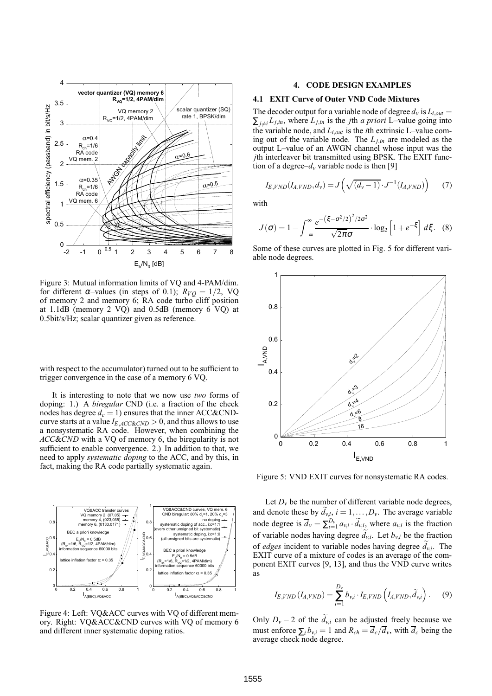

Figure 3: Mutual information limits of VQ and 4-PAM/dim. for different  $\alpha$ -values (in steps of 0.1);  $R_{VQ} = 1/2$ , VQ of memory 2 and memory 6; RA code turbo cliff position at 1.1dB (memory 2 VQ) and 0.5dB (memory 6 VQ) at 0.5bit/s/Hz; scalar quantizer given as reference.

with respect to the accumulator) turned out to be sufficient to trigger convergence in the case of a memory 6 VQ.

It is interesting to note that we now use *two* forms of doping: 1.) A *biregular* CND (i.e. a fraction of the check nodes has degree  $d_c = 1$ ) ensures that the inner ACC&CNDcurve starts at a value *IE*,*ACC*&*CND* > 0, and thus allows to use a nonsystematic RA code. However, when combining the *ACC*&*CND* with a VQ of memory 6, the biregularity is not sufficient to enable convergence. 2.) In addition to that, we need to apply *systematic doping* to the ACC, and by this, in fact, making the RA code partially systematic again.



Figure 4: Left: VQ&ACC curves with VQ of different memory. Right: VQ&ACC&CND curves with VQ of memory 6 and different inner systematic doping ratios.

### **4. CODE DESIGN EXAMPLES**

#### **4.1 EXIT Curve of Outer VND Code Mixtures**

The decoder output for a variable node of degree  $d_v$  is  $L_{i,out}$  $\sum_{j \neq i} L_{j,in}$ , where  $L_{j,in}$  is the *j*th *a priori* L–value going into the variable node, and *Li*,*out* is the *i*th extrinsic L–value coming out of the variable node. The  $L_{j,in}$  are modeled as the output L–value of an AWGN channel whose input was the *j*th interleaver bit transmitted using BPSK. The EXIT function of a degree– $d<sub>v</sub>$  variable node is then [9]

$$
I_{E, VND}(I_{A, VND}, d_v) = J\left(\sqrt{(d_v - 1)} \cdot J^{-1}(I_{A, VND})\right) \tag{7}
$$

with

$$
J(\sigma) = 1 - \int_{-\infty}^{\infty} \frac{e^{-\left(\xi - \sigma^2/2\right)^2/2\sigma^2}}{\sqrt{2\pi}\sigma} \cdot \log_2\left[1 + e^{-\xi}\right] d\xi. \tag{8}
$$

Some of these curves are plotted in Fig. 5 for different variable node degrees.



Figure 5: VND EXIT curves for nonsystematic RA codes.

Let  $D<sub>v</sub>$  be the number of different variable node degrees, and denote these by  $d_{v,i}$ ,  $i = 1, ..., D_v$ . The average variable node degree is  $\overline{d}_v = \sum_{i=1}^{D_v} a_{v,i} \cdot \widetilde{d}_{v,i}$ , where  $a_{v,i}$  is the fraction of variable nodes having degree  $d_{v,i}$ . Let  $b_{v,i}$  be the fraction of *edges* incident to variable nodes having degree  $d_{v,i}$ . The EXIT curve of a mixture of codes is an average of the component EXIT curves [9, 13], and thus the VND curve writes as

$$
I_{E, VND} (I_{A, VND}) = \sum_{i=1}^{D_v} b_{v,i} \cdot I_{E, VND} \left( I_{A, VND}, \widetilde{d}_{v,i} \right). \tag{9}
$$

Only  $D_v - 2$  of the  $d_{v,i}$  can be adjusted freely because we must enforce  $\sum_i b_{v,i} = 1$  and  $R_{ch} = \overline{d_c}/\overline{d_v}$ , with  $\overline{d_c}$  being the average check node degree.